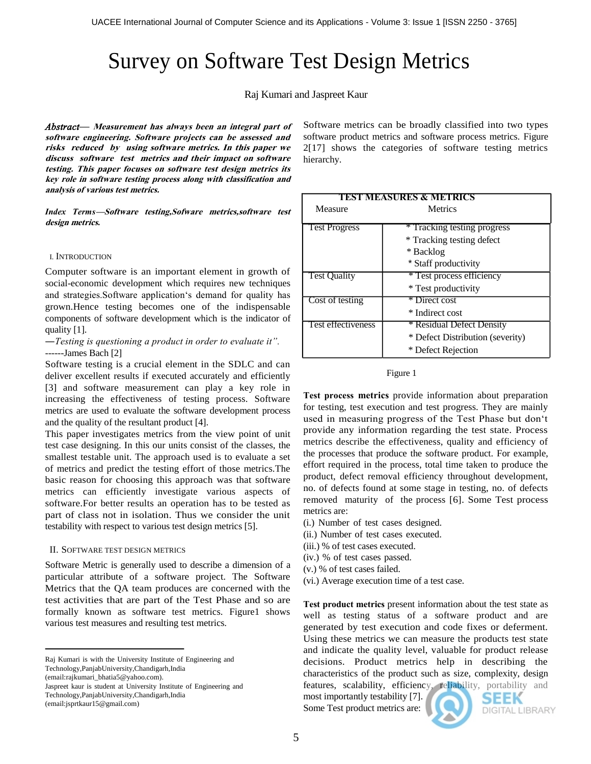# Survey on Software Test Design Metrics

Raj Kumari and Jaspreet Kaur

*Abstract—* **Measurement has always been an integral part of software engineering. Software projects can be assessed and risks reduced by using software metrics. In this paper we discuss software test metrics and their impact on software testing. This paper focuses on software test design metrics its key role in software testing process along with classification and analysis of various test metrics.**

*Index Terms***—Software testing,Sofware metrics,software test design metrics.**

#### I. INTRODUCTION

Computer software is an important element in growth of social-economic development which requires new techniques and strategies. Software application's demand for quality has grown.Hence testing becomes one of the indispensable components of software development which is the indicator of quality [1].

―*Testing is questioning a product in order to evaluate it".* ------James Bach [2]

Software testing is a crucial element in the SDLC and can deliver excellent results if executed accurately and efficiently [3] and software measurement can play a key role in increasing the effectiveness of testing process. Software metrics are used to evaluate the software development process and the quality of the resultant product [4].

This paper investigates metrics from the view point of unit test case designing. In this our units consist of the classes, the smallest testable unit. The approach used is to evaluate a set of metrics and predict the testing effort of those metrics.The basic reason for choosing this approach was that software metrics can efficiently investigate various aspects of software.For better results an operation has to be tested as part of class not in isolation. Thus we consider the unit testability with respect to various test design metrics [5].

## II. SOFTWARE TEST DESIGN METRICS

Software Metric is generally used to describe a dimension of a particular attribute of a software project. The Software Metrics that the QA team produces are concerned with the test activities that are part of the Test Phase and so are formally known as software test metrics. Figure1 shows various test measures and resulting test metrics.

Raj Kumari is with the University Institute of Engineering and Technology,PanjabUniversity,Chandigarh,India

(email:rajkumari\_bhatia5@yahoo.com).

Jaspreet kaur is student at University Institute of Engineering and Technology,PanjabUniversity,Chandigarh,India (email:jsprtkaur15@gmail.com)

Software metrics can be broadly classified into two types software product metrics and software process metrics. Figure 2[17] shows the categories of software testing metrics hierarchy.

| TEST MEASURES & METRICS |                                  |
|-------------------------|----------------------------------|
| Measure                 | <b>Metrics</b>                   |
|                         |                                  |
| <b>Test Progress</b>    | * Tracking testing progress      |
|                         | * Tracking testing defect        |
|                         | * Backlog                        |
|                         | * Staff productivity             |
| <b>Test Quality</b>     | * Test process efficiency        |
|                         | * Test productivity              |
| Cost of testing         | * Direct cost                    |
|                         | * Indirect cost                  |
| Test effectiveness      | * Residual Defect Density        |
|                         | * Defect Distribution (severity) |
|                         | * Defect Rejection               |



**Test process metrics** provide information about preparation for testing, test execution and test progress. They are mainly used in measuring progress of the Test Phase but don"t provide any information regarding the test state. Process metrics describe the effectiveness, quality and efficiency of the processes that produce the software product. For example, effort required in the process, total time taken to produce the product, defect removal efficiency throughout development, no. of defects found at some stage in testing, no. of defects removed maturity of the process [6]. Some Test process metrics are:

- (i.) Number of test cases designed.
- (ii.) Number of test cases executed.
- (iii.) % of test cases executed.
- (iv.) % of test cases passed.
- (v.) % of test cases failed.
- (vi.) Average execution time of a test case.

**Test product metrics** present information about the test state as well as testing status of a software product and are generated by test execution and code fixes or deferment. Using these metrics we can measure the products test state and indicate the quality level, valuable for product release decisions. Product metrics help in describing the characteristics of the product such as size, complexity, design features, scalability, efficiency, reliability, portability and

most importantly testability [7]. Some Test product metrics are:



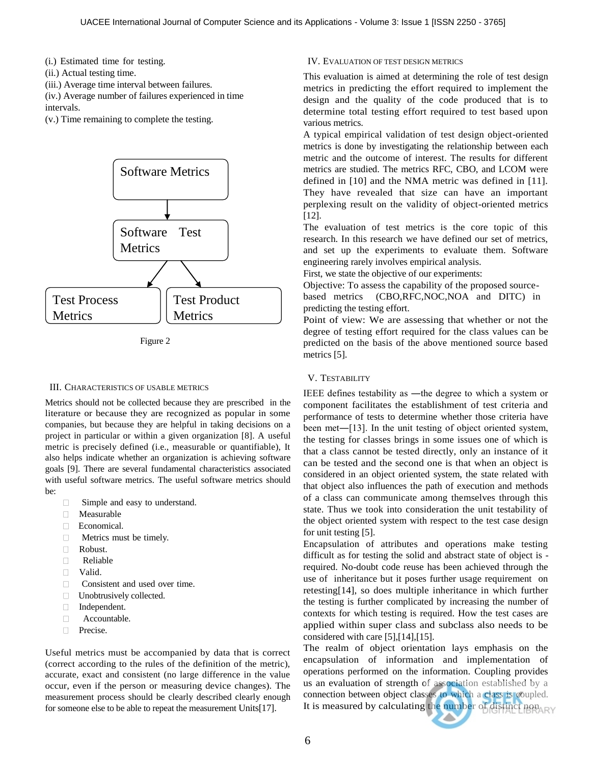(i.) Estimated time for testing.

- (ii.) Actual testing time.
- (iii.) Average time interval between failures.

(iv.) Average number of failures experienced in time intervals.

(v.) Time remaining to complete the testing.



Figure 2

## III. CHARACTERISTICS OF USABLE METRICS

Metrics should not be collected because they are prescribed in the literature or because they are recognized as popular in some companies, but because they are helpful in taking decisions on a project in particular or within a given organization [8]. A useful metric is precisely defined (i.e., measurable or quantifiable), It also helps indicate whether an organization is achieving software goals [9]. There are several fundamental characteristics associated with useful software metrics. The useful software metrics should be:

- □ Simple and easy to understand.
- Measurable
- Economical.
- $\Box$ Metrics must be timely.
- Robust.
- $\Box$ Reliable
- Valid.
- **Consistent and used over time.**
- □ Unobtrusively collected.
- Independent.
- $\Box$ Accountable.
- **Precise.**

Useful metrics must be accompanied by data that is correct (correct according to the rules of the definition of the metric), accurate, exact and consistent (no large difference in the value occur, even if the person or measuring device changes). The measurement process should be clearly described clearly enough for someone else to be able to repeat the measurement Units[17].

## IV. EVALUATION OF TEST DESIGN METRICS

This evaluation is aimed at determining the role of test design metrics in predicting the effort required to implement the design and the quality of the code produced that is to determine total testing effort required to test based upon various metrics.

A typical empirical validation of test design object-oriented metrics is done by investigating the relationship between each metric and the outcome of interest. The results for different metrics are studied. The metrics RFC, CBO, and LCOM were defined in [10] and the NMA metric was defined in [11]. They have revealed that size can have an important perplexing result on the validity of object-oriented metrics [12].

The evaluation of test metrics is the core topic of this research. In this research we have defined our set of metrics, and set up the experiments to evaluate them. Software engineering rarely involves empirical analysis.

First, we state the objective of our experiments:

Objective: To assess the capability of the proposed sourcebased metrics (CBO,RFC,NOC,NOA and DITC) in predicting the testing effort.

Point of view: We are assessing that whether or not the degree of testing effort required for the class values can be predicted on the basis of the above mentioned source based metrics [5].

## V. TESTABILITY

IEEE defines testability as ―the degree to which a system or component facilitates the establishment of test criteria and performance of tests to determine whether those criteria have been met―[13]. In the unit testing of object oriented system, the testing for classes brings in some issues one of which is that a class cannot be tested directly, only an instance of it can be tested and the second one is that when an object is considered in an object oriented system, the state related with that object also influences the path of execution and methods of a class can communicate among themselves through this state. Thus we took into consideration the unit testability of the object oriented system with respect to the test case design for unit testing [5].

Encapsulation of attributes and operations make testing difficult as for testing the solid and abstract state of object is required. No-doubt code reuse has been achieved through the use of inheritance but it poses further usage requirement on retesting[14], so does multiple inheritance in which further the testing is further complicated by increasing the number of contexts for which testing is required. How the test cases are applied within super class and subclass also needs to be considered with care [5],[14],[15].

The realm of object orientation lays emphasis on the encapsulation of information and implementation of operations performed on the information. Coupling provides us an evaluation of strength of association established by a connection between object classes to which a class is coupled. It is measured by calculating the number of distinct non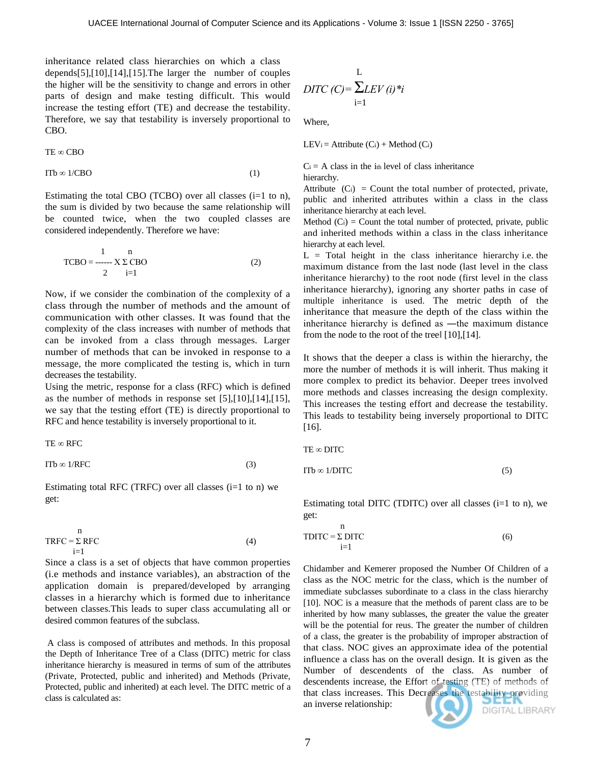inheritance related class hierarchies on which a class depends[5],[10],[14],[15].The larger the number of couples the higher will be the sensitivity to change and errors in other parts of design and make testing difficult. This would increase the testing effort (TE) and decrease the testability. Therefore, we say that testability is inversely proportional to CBO.

$$
TE\varpropto CBO\,
$$

 $ITb \infty 1/CBO$  (1)

Estimating the total CBO (TCBO) over all classes  $(i=1 \text{ to } n)$ , the sum is divided by two because the same relationship will be counted twice, when the two coupled classes are considered independently. Therefore we have:

$$
\text{TCBO} = \frac{1}{2} \sum_{i=1}^{n} \text{CBO} \tag{2}
$$

Now, if we consider the combination of the complexity of a class through the number of methods and the amount of communication with other classes. It was found that the complexity of the class increases with number of methods that can be invoked from a class through messages. Larger number of methods that can be invoked in response to a message, the more complicated the testing is, which in turn decreases the testability.

Using the metric, response for a class (RFC) which is defined as the number of methods in response set [5],[10],[14],[15], we say that the testing effort (TE) is directly proportional to RFC and hence testability is inversely proportional to it.

TE ∞ RFC

$$
\text{ITb} \otimes 1/\text{RFC} \tag{3}
$$

Estimating total RFC (TRFC) over all classes  $(i=1$  to n) we get:

$$
TRFC = \sum_{i=1}^{n} RFC
$$
 (4)

Since a class is a set of objects that have common properties (i.e methods and instance variables), an abstraction of the application domain is prepared/developed by arranging classes in a hierarchy which is formed due to inheritance between classes.This leads to super class accumulating all or desired common features of the subclass.

A class is composed of attributes and methods. In this proposal the Depth of Inheritance Tree of a Class (DITC) metric for class inheritance hierarchy is measured in terms of sum of the attributes (Private, Protected, public and inherited) and Methods (Private, Protected, public and inherited) at each level. The DITC metric of a class is calculated as:

$$
L
$$
  
DTIC (C)= $\sum_{i=1}^{L} LEV(i)*i$ 

Where,

LEV<sub>i</sub> = Attribute  $(C_i)$  + Method  $(C_i)$ 

 $C_i$  = A class in the i<sub>th</sub> level of class inheritance hierarchy.

Attribute  $(C_i)$  = Count the total number of protected, private, public and inherited attributes within a class in the class inheritance hierarchy at each level.

Method  $(C_i)$  = Count the total number of protected, private, public and inherited methods within a class in the class inheritance hierarchy at each level.

 $L =$  Total height in the class inheritance hierarchy i.e. the maximum distance from the last node (last level in the class inheritance hierarchy) to the root node (first level in the class inheritance hierarchy), ignoring any shorter paths in case of multiple inheritance is used. The metric depth of the inheritance that measure the depth of the class within the inheritance hierarchy is defined as ―the maximum distance from the node to the root of the treel [10], [14].

It shows that the deeper a class is within the hierarchy, the more the number of methods it is will inherit. Thus making it more complex to predict its behavior. Deeper trees involved more methods and classes increasing the design complexity. This increases the testing effort and decrease the testability. This leads to testability being inversely proportional to DITC [16].

TE ∞ DITC

n

$$
ITb \in 1/DITC \tag{5}
$$

Estimating total DITC (TDITC) over all classes  $(i=1$  to n), we get:

$$
TDITC = \sum_{i=1}^{n} DITC
$$
 (6)

Chidamber and Kemerer proposed the Number Of Children of a class as the NOC metric for the class, which is the number of immediate subclasses subordinate to a class in the class hierarchy [10]. NOC is a measure that the methods of parent class are to be inherited by how many sublasses, the greater the value the greater will be the potential for reus. The greater the number of children of a class, the greater is the probability of improper abstraction of that class. NOC gives an approximate idea of the potential influence a class has on the overall design. It is given as the Number of descendents of the class. As number of descendents increase, the Effort of testing (TE) of methods of that class increases. This Decreases the testability providing an inverse relationship: **DIGITAL LIBRARY**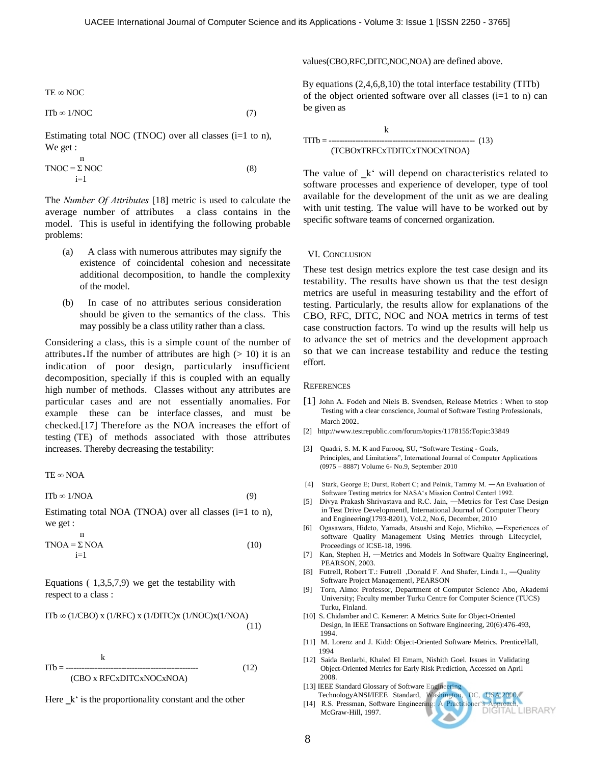values(CBO,RFC,DITC,NOC,NOA) are defined above.

By equations (2,4,6,8,10) the total interface testability (TITb) of the object oriented software over all classes  $(i=1$  to n) can be given as

$$
HTTb = \frac{k}{(TCBOxTRFCxTDITCxTNOCxTNOA)}
$$
 (13)

The value of  $_k$ " will depend on characteristics related to software processes and experience of developer, type of tool available for the development of the unit as we are dealing with unit testing. The value will have to be worked out by specific software teams of concerned organization.

#### VI. CONCLUSION

These test design metrics explore the test case design and its testability. The results have shown us that the test design metrics are useful in measuring testability and the effort of testing. Particularly, the results allow for explanations of the CBO, RFC, DITC, NOC and NOA metrics in terms of test case construction factors. To wind up the results will help us to advance the set of metrics and the development approach so that we can increase testability and reduce the testing effort.

#### **REFERENCES**

- [1] John A. Fodeh and Niels B. Svendsen, Release Metrics : When to stop Testing with a clear conscience, Journal of Software Testing Professionals, March 2002.
- [2]<http://www.testrepublic.com/forum/topics/1178155:Topic:33849>
- [3] Quadri, S. M. K and Farooq, SU, "Software Testing Goals, Principles, and Limitations", International Journal of Computer Applications (0975 – 8887) Volume 6- No.9, September 2010
- [4] Stark, George E; Durst, Robert C; and Pelnik, Tammy M. ―An Evaluation of Software Testing metrics for NASA's Mission Control Centerl 1992.
- [5] Divya Prakash Shrivastava and R.C. Jain, ―Metrics for Test Case Design in Test Drive Development‖, International Journal of Computer Theory and Engineering(1793-8201), Vol.2, No.6, December, 2010
- [6] Ogasawara, Hideto, Yamada, Atsushi and Kojo, Michiko, ―Experiences of software Quality Management Using Metrics through Lifecyclel, Proceedings of ICSE-18, 1996.
- [7] Kan, Stephen H, -Metrics and Models In Software Quality Engineeringl, PEARSON, 2003.
- [8] Futrell, Robert T.: Futrell , Donald F. And Shafer, Linda I., -Quality Software Project Management‖, PEARSON
- [9] Torn, Aimo: Professor, Department of Computer Science Abo, Akademi University; Faculty member Turku Centre for Computer Science (TUCS) Turku, Finland.
- [10] S. Chidamber and C. Kemerer: A Metrics Suite for Object-Oriented Design, In IEEE Transactions on Software Engineering, 20(6):476-493, 1994.
- [11] M. Lorenz and J. Kidd: Object-Oriented Software Metrics. PrenticeHall, 1994
- [12] Saida Benlarbi, Khaled El Emam, Nishith Goel. Issues in Validating Object-Oriented Metrics for Early Risk Prediction, Accessed on April 2008.
- [13] IEEE Standard Glossary of Software Engineering
- TechnologyANSI/IEEE Standard, Washington, DC, USA,2000. [14] R.S. Pressman, Software Engineering: A Practitioner"s Approach, McGraw-Hill, 1997.

$$
TE \otimes NOC
$$

$$
\text{ITb} \otimes 1/\text{NOC} \tag{7}
$$

Estimating total NOC (TNOC) over all classes  $(i=1 \text{ to } n)$ , We get :

$$
TNOC = \sum_{i=1}^{n} NOC
$$
 (8)

The *Number Of Attributes* [18] metric is used to calculate the average number of attributes a class contains in the model. This is useful in identifying the following probable problems:

- (a) A class with numerous attributes may signify the existence of coincidental cohesion and necessitate additional decomposition, to handle the complexity of the model.
- (b) In case of no attributes serious consideration should be given to the semantics of the class. This may possibly be a class utility rather than a class.

Considering a class, this is a simple count of the number of attributes. If the number of attributes are high  $(> 10)$  it is an indication of poor design, particularly insufficient decomposition, specially if this is coupled with an equally high [number of methods.](http://support.objecteering.com/objecteering6.1/help/us/metrics/metrics_in_detail/number_of_methods.htm) Classes without any attributes are particular cases and are not essentially anomalies. For example these can be interface classes, and must be checked.[17] Therefore as the NOA increases the effort of testing (TE) of methods associated with those attributes increases. Thereby decreasing the testability:

TE ∞ NOA

 $ITb \infty 1/NOA$  (9)

Estimating total NOA (TNOA) over all classes  $(i=1 \text{ to } n)$ , we get :

$$
TNOA = \sum_{i=1}^{n} NOA
$$
 (10)

Equations  $(1,3,5,7,9)$  we get the testability with respect to a class :

ITb  $\infty$  (1/CBO) x (1/RFC) x (1/DITC)x (1/NOC)x(1/NOA) (11)

$$
ITb = \frac{k}{\text{(CBO x RFCxDITCxNOCxNOA)}} \tag{12}
$$